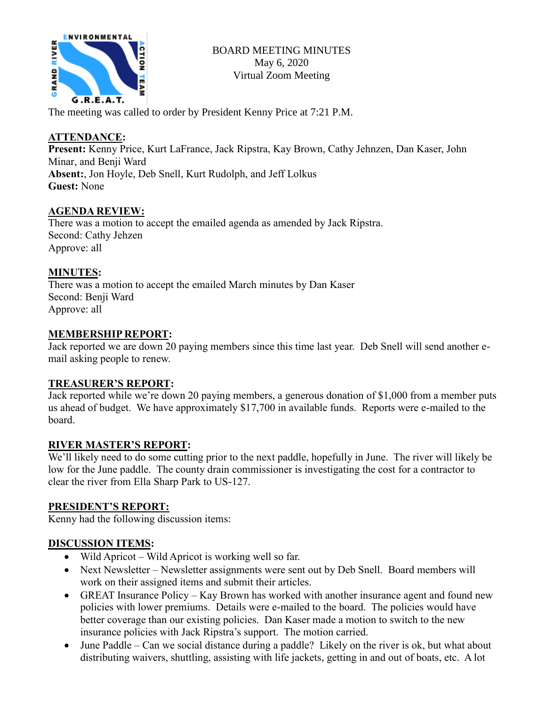

The meeting was called to order by President Kenny Price at 7:21 P.M.

# **ATTENDANCE:**

**Present:** Kenny Price, Kurt LaFrance, Jack Ripstra, Kay Brown, Cathy Jehnzen, Dan Kaser, John Minar, and Benji Ward **Absent:**, Jon Hoyle, Deb Snell, Kurt Rudolph, and Jeff Lolkus **Guest:** None

## **AGENDA REVIEW:**

There was a motion to accept the emailed agenda as amended by Jack Ripstra. Second: Cathy Jehzen Approve: all

## **MINUTES:**

There was a motion to accept the emailed March minutes by Dan Kaser Second: Benji Ward Approve: all

## **MEMBERSHIP REPORT:**

Jack reported we are down 20 paying members since this time last year. Deb Snell will send another email asking people to renew.

## **TREASURER'S REPORT:**

Jack reported while we're down 20 paying members, a generous donation of \$1,000 from a member puts us ahead of budget. We have approximately \$17,700 in available funds. Reports were e-mailed to the board.

## **RIVER MASTER'S REPORT:**

We'll likely need to do some cutting prior to the next paddle, hopefully in June. The river will likely be low for the June paddle. The county drain commissioner is investigating the cost for a contractor to clear the river from Ella Sharp Park to US-127.

## **PRESIDENT'S REPORT:**

Kenny had the following discussion items:

## **DISCUSSION ITEMS:**

- Wild Apricot Wild Apricot is working well so far.
- Next Newsletter Newsletter assignments were sent out by Deb Snell. Board members will work on their assigned items and submit their articles.
- GREAT Insurance Policy Kay Brown has worked with another insurance agent and found new policies with lower premiums. Details were e-mailed to the board. The policies would have better coverage than our existing policies. Dan Kaser made a motion to switch to the new insurance policies with Jack Ripstra's support. The motion carried.
- June Paddle Can we social distance during a paddle? Likely on the river is ok, but what about distributing waivers, shuttling, assisting with life jackets, getting in and out of boats, etc. A lot